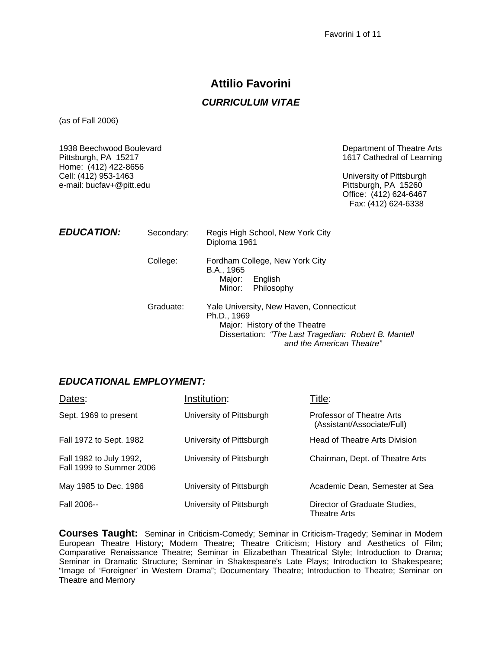# **Attilio Favorini**  *CURRICULUM VITAE*

(as of Fall 2006)

| 1938 Beechwood Boulevard<br>Pittsburgh, PA 15217<br>Home: (412) 422-8656<br>Cell: (412) 953-1463<br>e-mail: bucfav+@pitt.edu |            |                                                                                                                                                                              | Department of Theatre Arts<br>1617 Cathedral of Learning<br>University of Pittsburgh<br>Pittsburgh, PA 15260<br>Office: (412) 624-6467<br>Fax: (412) 624-6338 |
|------------------------------------------------------------------------------------------------------------------------------|------------|------------------------------------------------------------------------------------------------------------------------------------------------------------------------------|---------------------------------------------------------------------------------------------------------------------------------------------------------------|
| <b>EDUCATION:</b>                                                                                                            | Secondary: | Regis High School, New York City<br>Diploma 1961                                                                                                                             |                                                                                                                                                               |
|                                                                                                                              | College:   | Fordham College, New York City<br>B.A., 1965<br>Major:<br>English<br>Minor:<br>Philosophy                                                                                    |                                                                                                                                                               |
|                                                                                                                              | Graduate:  | Yale University, New Haven, Connecticut<br>Ph.D., 1969<br>Major: History of the Theatre<br>Dissertation: "The Last Tragedian: Robert B. Mantell<br>and the American Theatre" |                                                                                                                                                               |

### *EDUCATIONAL EMPLOYMENT:*

| Dates:                                              | Institution:             | Title:                                                  |
|-----------------------------------------------------|--------------------------|---------------------------------------------------------|
| Sept. 1969 to present                               | University of Pittsburgh | Professor of Theatre Arts<br>(Assistant/Associate/Full) |
| Fall 1972 to Sept. 1982                             | University of Pittsburgh | Head of Theatre Arts Division                           |
| Fall 1982 to July 1992,<br>Fall 1999 to Summer 2006 | University of Pittsburgh | Chairman, Dept. of Theatre Arts                         |
| May 1985 to Dec. 1986                               | University of Pittsburgh | Academic Dean, Semester at Sea                          |
| Fall 2006--                                         | University of Pittsburgh | Director of Graduate Studies,<br><b>Theatre Arts</b>    |

**Courses Taught:** Seminar in Criticism-Comedy; Seminar in Criticism-Tragedy; Seminar in Modern European Theatre History; Modern Theatre; Theatre Criticism; History and Aesthetics of Film; Comparative Renaissance Theatre; Seminar in Elizabethan Theatrical Style; Introduction to Drama; Seminar in Dramatic Structure; Seminar in Shakespeare's Late Plays; Introduction to Shakespeare; "Image of 'Foreigner' in Western Drama"; Documentary Theatre; Introduction to Theatre; Seminar on Theatre and Memory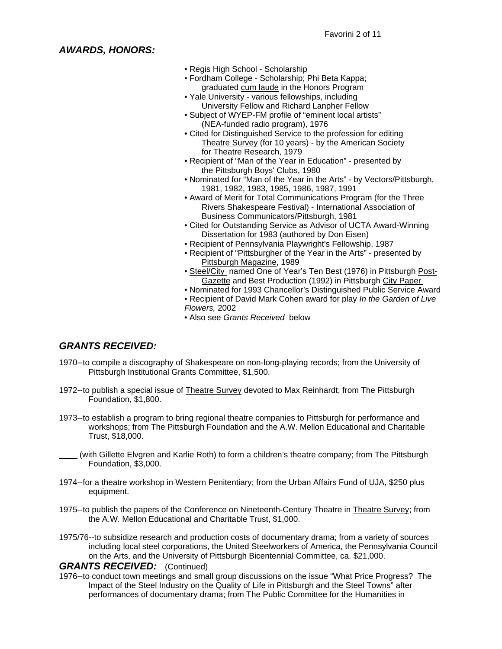## *AWARDS, HONORS:*

- Regis High School Scholarship
- Fordham College Scholarship; Phi Beta Kappa; graduated cum laude in the Honors Program
- Yale University various fellowships, including University Fellow and Richard Lanpher Fellow
- Subject of WYEP-FM profile of "eminent local artists" (NEA-funded radio program), 1976
- Cited for Distinguished Service to the profession for editing Theatre Survey (for 10 years) - by the American Society for Theatre Research, 1979
- Recipient of "Man of the Year in Education" presented by the Pittsburgh Boys' Clubs, 1980
- Nominated for "Man of the Year in the Arts" by Vectors/Pittsburgh, 1981, 1982, 1983, 1985, 1986, 1987, 1991
- Award of Merit for Total Communications Program (for the Three Rivers Shakespeare Festival) - International Association of Business Communicators/Pittsburgh, 1981
- Cited for Outstanding Service as Advisor of UCTA Award-Winning Dissertation for 1983 (authored by Don Eisen)
- Recipient of Pennsylvania Playwright's Fellowship, 1987
- Recipient of "Pittsburgher of the Year in the Arts" presented by Pittsburgh Magazine, 1989
- Steel/City named One of Year's Ten Best (1976) in Pittsburgh Post- Gazette and Best Production (1992) in Pittsburgh City Paper
- Nominated for 1993 Chancellor's Distinguished Public Service Award
- Recipient of David Mark Cohen award for play *In the Garden of Live Flowers,* 2002
- Also see *Grants Received* below

# *GRANTS RECEIVED:*

- 1970--to compile a discography of Shakespeare on non-long-playing records; from the University of Pittsburgh Institutional Grants Committee, \$1,500.
- 1972--to publish a special issue of Theatre Survey devoted to Max Reinhardt; from The Pittsburgh Foundation, \$1,800.
- 1973--to establish a program to bring regional theatre companies to Pittsburgh for performance and workshops; from The Pittsburgh Foundation and the A.W. Mellon Educational and Charitable Trust, \$18,000.
- \_\_\_\_ (with Gillette Elvgren and Karlie Roth) to form a children's theatre company; from The Pittsburgh Foundation, \$3,000.
- 1974--for a theatre workshop in Western Penitentiary; from the Urban Affairs Fund of UJA, \$250 plus equipment.
- 1975--to publish the papers of the Conference on Nineteenth-Century Theatre in Theatre Survey; from the A.W. Mellon Educational and Charitable Trust, \$1,000.
- 1975/76--to subsidize research and production costs of documentary drama; from a variety of sources including local steel corporations, the United Steelworkers of America, the Pennsylvania Council on the Arts, and the University of Pittsburgh Bicentennial Committee, ca. \$21,000.

#### *GRANTS RECEIVED:* (Continued)

1976--to conduct town meetings and small group discussions on the issue "What Price Progress? The Impact of the Steel Industry on the Quality of Life in Pittsburgh and the Steel Towns" after performances of documentary drama; from The Public Committee for the Humanities in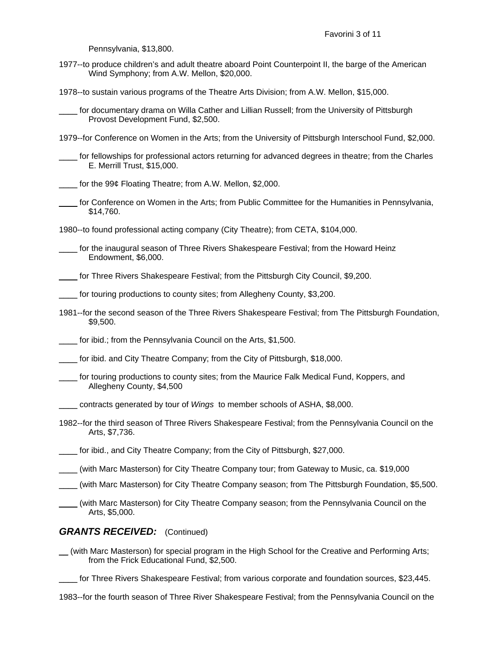Pennsylvania, \$13,800.

- 1977--to produce children's and adult theatre aboard Point Counterpoint II, the barge of the American Wind Symphony; from A.W. Mellon, \$20,000.
- 1978--to sustain various programs of the Theatre Arts Division; from A.W. Mellon, \$15,000.
- for documentary drama on Willa Cather and Lillian Russell; from the University of Pittsburgh Provost Development Fund, \$2,500.
- 1979--for Conference on Women in the Arts; from the University of Pittsburgh Interschool Fund, \$2,000.

for fellowships for professional actors returning for advanced degrees in theatre; from the Charles E. Merrill Trust, \$15,000.

- for the 99¢ Floating Theatre; from A.W. Mellon, \$2,000.
- \_\_\_\_ for Conference on Women in the Arts; from Public Committee for the Humanities in Pennsylvania, \$14,760.

1980--to found professional acting company (City Theatre); from CETA, \$104,000.

\_\_\_\_ for the inaugural season of Three Rivers Shakespeare Festival; from the Howard Heinz Endowment, \$6,000.

\_\_\_\_ for Three Rivers Shakespeare Festival; from the Pittsburgh City Council, \$9,200.

for touring productions to county sites; from Allegheny County, \$3,200.

1981--for the second season of the Three Rivers Shakespeare Festival; from The Pittsburgh Foundation, \$9,500.

for ibid.; from the Pennsylvania Council on the Arts, \$1,500.

for ibid. and City Theatre Company; from the City of Pittsburgh, \$18,000.

- for touring productions to county sites; from the Maurice Falk Medical Fund, Koppers, and Allegheny County, \$4,500
- \_\_\_\_ contracts generated by tour of *Wings* to member schools of ASHA, \$8,000.
- 1982--for the third season of Three Rivers Shakespeare Festival; from the Pennsylvania Council on the Arts, \$7,736.

\_\_\_\_ for ibid., and City Theatre Company; from the City of Pittsburgh, \$27,000.

- \_\_\_\_ (with Marc Masterson) for City Theatre Company tour; from Gateway to Music, ca. \$19,000
- (with Marc Masterson) for City Theatre Company season; from The Pittsburgh Foundation, \$5,500.
- \_\_\_\_ (with Marc Masterson) for City Theatre Company season; from the Pennsylvania Council on the Arts, \$5,000.

#### *GRANTS RECEIVED:* (Continued)

- \_\_ (with Marc Masterson) for special program in the High School for the Creative and Performing Arts; from the Frick Educational Fund, \$2,500.
	- for Three Rivers Shakespeare Festival; from various corporate and foundation sources, \$23,445.
- 1983--for the fourth season of Three River Shakespeare Festival; from the Pennsylvania Council on the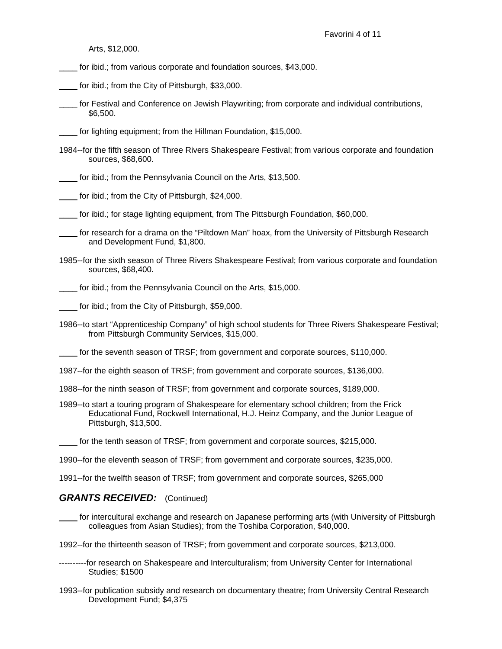Arts, \$12,000.

- for ibid.; from various corporate and foundation sources, \$43,000.
- \_\_\_\_ for ibid.; from the City of Pittsburgh, \$33,000.
- \_\_\_\_ for Festival and Conference on Jewish Playwriting; from corporate and individual contributions, \$6,500.

\_\_\_\_ for lighting equipment; from the Hillman Foundation, \$15,000.

- 1984--for the fifth season of Three Rivers Shakespeare Festival; from various corporate and foundation sources, \$68,600.
- for ibid.; from the Pennsylvania Council on the Arts, \$13,500.
- for ibid.; from the City of Pittsburgh, \$24,000.
- for ibid.; for stage lighting equipment, from The Pittsburgh Foundation, \$60,000.
- for research for a drama on the "Piltdown Man" hoax, from the University of Pittsburgh Research and Development Fund, \$1,800.
- 1985--for the sixth season of Three Rivers Shakespeare Festival; from various corporate and foundation sources, \$68,400.

\_\_\_\_ for ibid.; from the Pennsylvania Council on the Arts, \$15,000.

\_\_\_\_ for ibid.; from the City of Pittsburgh, \$59,000.

1986--to start "Apprenticeship Company" of high school students for Three Rivers Shakespeare Festival; from Pittsburgh Community Services, \$15,000.

\_\_\_\_ for the seventh season of TRSF; from government and corporate sources, \$110,000.

1987--for the eighth season of TRSF; from government and corporate sources, \$136,000.

- 1988--for the ninth season of TRSF; from government and corporate sources, \$189,000.
- 1989--to start a touring program of Shakespeare for elementary school children; from the Frick Educational Fund, Rockwell International, H.J. Heinz Company, and the Junior League of Pittsburgh, \$13,500.
- for the tenth season of TRSF; from government and corporate sources, \$215,000.

1990--for the eleventh season of TRSF; from government and corporate sources, \$235,000.

1991--for the twelfth season of TRSF; from government and corporate sources, \$265,000

#### *GRANTS RECEIVED:* (Continued)

\_\_\_\_ for intercultural exchange and research on Japanese performing arts (with University of Pittsburgh colleagues from Asian Studies); from the Toshiba Corporation, \$40,000.

1992--for the thirteenth season of TRSF; from government and corporate sources, \$213,000.

- ----------for research on Shakespeare and Interculturalism; from University Center for International Studies; \$1500
- 1993--for publication subsidy and research on documentary theatre; from University Central Research Development Fund; \$4,375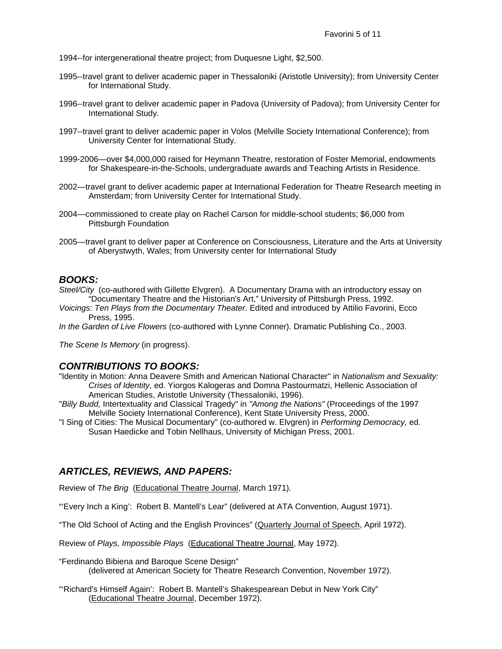1994--for intergenerational theatre project; from Duquesne Light, \$2,500.

- 1995--travel grant to deliver academic paper in Thessaloniki (Aristotle University); from University Center for International Study.
- 1996--travel grant to deliver academic paper in Padova (University of Padova); from University Center for International Study.
- 1997--travel grant to deliver academic paper in Volos (Melville Society International Conference); from University Center for International Study.
- 1999-2006—over \$4,000,000 raised for Heymann Theatre, restoration of Foster Memorial, endowments for Shakespeare-in-the-Schools, undergraduate awards and Teaching Artists in Residence.
- 2002—travel grant to deliver academic paper at International Federation for Theatre Research meeting in Amsterdam; from University Center for International Study.
- 2004—commissioned to create play on Rachel Carson for middle-school students; \$6,000 from Pittsburgh Foundation
- 2005—travel grant to deliver paper at Conference on Consciousness, Literature and the Arts at University of Aberystwyth, Wales; from University center for International Study

#### *BOOKS:*

- *Steel/City* (co-authored with Gillette Elvgren). A Documentary Drama with an introductory essay on "Documentary Theatre and the Historian's Art," University of Pittsburgh Press, 1992.
- *Voicings: Ten Plays from the Documentary Theater*. Edited and introduced by Attilio Favorini, Ecco Press, 1995.

*In the Garden of Live Flowers* (co-authored with Lynne Conner). Dramatic Publishing Co., 2003.

*The Scene Is Memory* (in progress).

#### *CONTRIBUTIONS TO BOOKS:*

- "Identity in Motion: Anna Deavere Smith and American National Character" in *Nationalism and Sexuality: Crises of Identity,* ed. Yiorgos Kalogeras and Domna Pastourmatzi, Hellenic Association of American Studies, Aristotle University (Thessaloniki, 1996).
- "*Billy Budd,* Intertextuality and Classical Tragedy" in *"Among the Nations"* (Proceedings of the 1997 Melville Society International Conference), Kent State University Press, 2000.
- "I Sing of Cities: The Musical Documentary" (co-authored w. Elvgren) in *Performing Democracy,* ed. Susan Haedicke and Tobin Nellhaus, University of Michigan Press, 2001.

### *ARTICLES, REVIEWS, AND PAPERS:*

Review of *The Brig* (Educational Theatre Journal, March 1971).

"'Every Inch a King': Robert B. Mantell's Lear" (delivered at ATA Convention, August 1971).

"The Old School of Acting and the English Provinces" (Quarterly Journal of Speech, April 1972).

Review of *Plays, Impossible Plays* (Educational Theatre Journal, May 1972).

"Ferdinando Bibiena and Baroque Scene Design" (delivered at American Society for Theatre Research Convention, November 1972).

"'Richard's Himself Again': Robert B. Mantell's Shakespearean Debut in New York City" (Educational Theatre Journal, December 1972).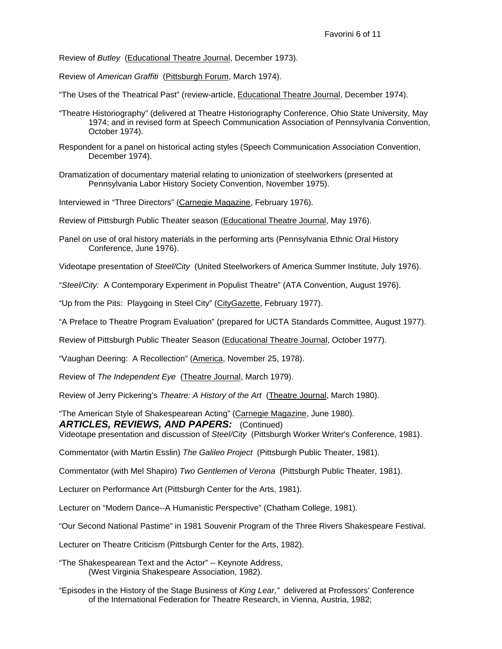Review of *Butley* (Educational Theatre Journal, December 1973).

Review of *American Graffiti* (Pittsburgh Forum, March 1974).

"The Uses of the Theatrical Past" (review-article, Educational Theatre Journal, December 1974).

- "Theatre Historiography" (delivered at Theatre Historiography Conference, Ohio State University, May 1974; and in revised form at Speech Communication Association of Pennsylvania Convention, October 1974).
- Respondent for a panel on historical acting styles (Speech Communication Association Convention, December 1974).
- Dramatization of documentary material relating to unionization of steelworkers (presented at Pennsylvania Labor History Society Convention, November 1975).

Interviewed in "Three Directors" (Carnegie Magazine, February 1976).

- Review of Pittsburgh Public Theater season (Educational Theatre Journal, May 1976).
- Panel on use of oral history materials in the performing arts (Pennsylvania Ethnic Oral History Conference, June 1976).

Videotape presentation of *Steel/City* (United Steelworkers of America Summer Institute, July 1976).

"*Steel/City:* A Contemporary Experiment in Populist Theatre" (ATA Convention, August 1976).

"Up from the Pits: Playgoing in Steel City" (CityGazette, February 1977).

"A Preface to Theatre Program Evaluation" (prepared for UCTA Standards Committee, August 1977).

Review of Pittsburgh Public Theater Season (Educational Theatre Journal, October 1977).

"Vaughan Deering: A Recollection" (America, November 25, 1978).

Review of *The Independent Eye* (Theatre Journal, March 1979).

Review of Jerry Pickering's *Theatre: A History of the Art* (Theatre Journal, March 1980).

"The American Style of Shakespearean Acting" (Carnegie Magazine, June 1980).

*ARTICLES, REVIEWS, AND PAPERS:* (Continued)

Videotape presentation and discussion of *Steel/City* (Pittsburgh Worker Writer's Conference, 1981).

Commentator (with Martin Esslin) *The Galileo Project* (Pittsburgh Public Theater, 1981).

Commentator (with Mel Shapiro) *Two Gentlemen of Verona* (Pittsburgh Public Theater, 1981).

Lecturer on Performance Art (Pittsburgh Center for the Arts, 1981).

Lecturer on "Modern Dance--A Humanistic Perspective" (Chatham College, 1981).

"Our Second National Pastime" in 1981 Souvenir Program of the Three Rivers Shakespeare Festival.

Lecturer on Theatre Criticism (Pittsburgh Center for the Arts, 1982).

"The Shakespearean Text and the Actor" -- Keynote Address, (West Virginia Shakespeare Association, 1982).

"Episodes in the History of the Stage Business of *King Lear,"* delivered at Professors' Conference of the International Federation for Theatre Research, in Vienna, Austria, 1982;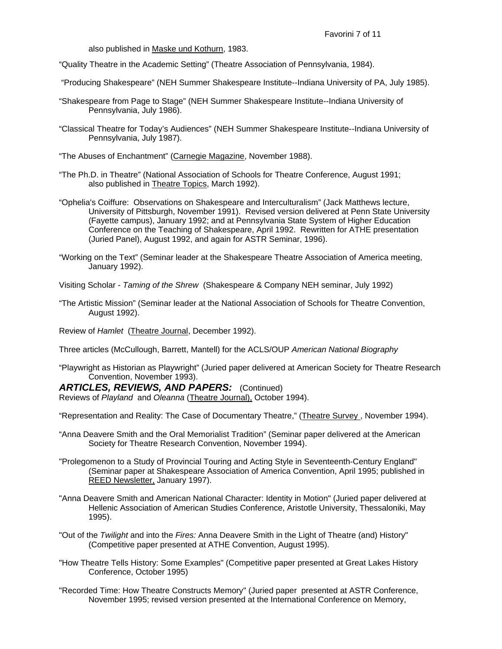also published in Maske und Kothurn, 1983.

"Quality Theatre in the Academic Setting" (Theatre Association of Pennsylvania, 1984).

"Producing Shakespeare" (NEH Summer Shakespeare Institute--Indiana University of PA, July 1985).

- "Shakespeare from Page to Stage" (NEH Summer Shakespeare Institute--Indiana University of Pennsylvania, July 1986).
- "Classical Theatre for Today's Audiences" (NEH Summer Shakespeare Institute--Indiana University of Pennsylvania, July 1987).
- "The Abuses of Enchantment" (Carnegie Magazine, November 1988).
- "The Ph.D. in Theatre" (National Association of Schools for Theatre Conference, August 1991; also published in Theatre Topics, March 1992).
- "Ophelia's Coiffure: Observations on Shakespeare and Interculturalism" (Jack Matthews lecture, University of Pittsburgh, November 1991). Revised version delivered at Penn State University (Fayette campus), January 1992; and at Pennsylvania State System of Higher Education Conference on the Teaching of Shakespeare, April 1992. Rewritten for ATHE presentation (Juried Panel), August 1992, and again for ASTR Seminar, 1996).
- "Working on the Text" (Seminar leader at the Shakespeare Theatre Association of America meeting, January 1992).

Visiting Scholar - *Taming of the Shrew* (Shakespeare & Company NEH seminar, July 1992)

"The Artistic Mission" (Seminar leader at the National Association of Schools for Theatre Convention, August 1992).

Review of *Hamlet* (Theatre Journal, December 1992).

Three articles (McCullough, Barrett, Mantell) for the ACLS/OUP *American National Biography*

"Playwright as Historian as Playwright" (Juried paper delivered at American Society for Theatre Research Convention, November 1993).

*ARTICLES, REVIEWS, AND PAPERS:* (Continued) Reviews of *Playland* and *Oleanna* (Theatre Journal), October 1994).

"Representation and Reality: The Case of Documentary Theatre," (Theatre Survey , November 1994).

- "Anna Deavere Smith and the Oral Memorialist Tradition" (Seminar paper delivered at the American Society for Theatre Research Convention, November 1994).
- "Prolegomenon to a Study of Provincial Touring and Acting Style in Seventeenth-Century England" (Seminar paper at Shakespeare Association of America Convention, April 1995; published in REED Newsletter, January 1997).
- "Anna Deavere Smith and American National Character: Identity in Motion" (Juried paper delivered at Hellenic Association of American Studies Conference, Aristotle University, Thessaloniki, May 1995).
- "Out of the *Twilight* and into the *Fires:* Anna Deavere Smith in the Light of Theatre (and) History" (Competitive paper presented at ATHE Convention, August 1995).
- "How Theatre Tells History: Some Examples" (Competitive paper presented at Great Lakes History Conference, October 1995)
- "Recorded Time: How Theatre Constructs Memory" (Juried paper presented at ASTR Conference, November 1995; revised version presented at the International Conference on Memory,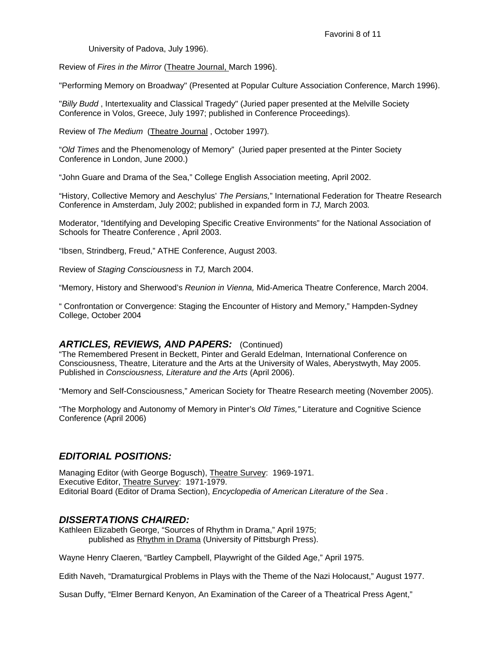University of Padova, July 1996).

Review of *Fires in the Mirror* (Theatre Journal, March 1996).

"Performing Memory on Broadway" (Presented at Popular Culture Association Conference, March 1996).

"*Billy Budd* , Intertexuality and Classical Tragedy" (Juried paper presented at the Melville Society Conference in Volos, Greece, July 1997; published in Conference Proceedings)*.* 

Review of *The Medium* (Theatre Journal , October 1997)*.* 

"*Old Times* and the Phenomenology of Memory" (Juried paper presented at the Pinter Society Conference in London, June 2000.)

"John Guare and Drama of the Sea," College English Association meeting, April 2002.

"History, Collective Memory and Aeschylus' *The Persians,*" International Federation for Theatre Research Conference in Amsterdam, July 2002; published in expanded form in *TJ,* March 2003*.* 

Moderator, "Identifying and Developing Specific Creative Environments" for the National Association of Schools for Theatre Conference , April 2003.

"Ibsen, Strindberg, Freud," ATHE Conference, August 2003.

Review of *Staging Consciousness* in *TJ,* March 2004.

"Memory, History and Sherwood's *Reunion in Vienna,* Mid-America Theatre Conference, March 2004.

" Confrontation or Convergence: Staging the Encounter of History and Memory," Hampden-Sydney College, October 2004

### ARTICLES, REVIEWS, AND PAPERS: (Continued)

"The Remembered Present in Beckett, Pinter and Gerald Edelman, International Conference on Consciousness, Theatre, Literature and the Arts at the University of Wales, Aberystwyth, May 2005. Published in *Consciousness, Literature and the Arts* (April 2006).

"Memory and Self-Consciousness," American Society for Theatre Research meeting (November 2005).

"The Morphology and Autonomy of Memory in Pinter's *Old Times,"* Literature and Cognitive Science Conference (April 2006)

## *EDITORIAL POSITIONS:*

Managing Editor (with George Bogusch), Theatre Survey: 1969-1971. Executive Editor, Theatre Survey: 1971-1979. Editorial Board (Editor of Drama Section), *Encyclopedia of American Literature of the Sea .*

### *DISSERTATIONS CHAIRED:*

Kathleen Elizabeth George, "Sources of Rhythm in Drama," April 1975; published as Rhythm in Drama (University of Pittsburgh Press).

Wayne Henry Claeren, "Bartley Campbell, Playwright of the Gilded Age," April 1975.

Edith Naveh, "Dramaturgical Problems in Plays with the Theme of the Nazi Holocaust," August 1977.

Susan Duffy, "Elmer Bernard Kenyon, An Examination of the Career of a Theatrical Press Agent,"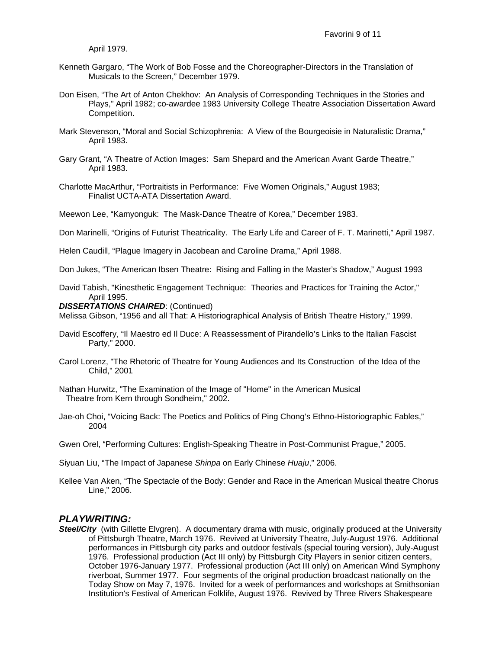April 1979.

- Kenneth Gargaro, "The Work of Bob Fosse and the Choreographer-Directors in the Translation of Musicals to the Screen," December 1979.
- Don Eisen, "The Art of Anton Chekhov: An Analysis of Corresponding Techniques in the Stories and Plays," April 1982; co-awardee 1983 University College Theatre Association Dissertation Award Competition.
- Mark Stevenson, "Moral and Social Schizophrenia: A View of the Bourgeoisie in Naturalistic Drama," April 1983.
- Gary Grant, "A Theatre of Action Images: Sam Shepard and the American Avant Garde Theatre," April 1983.
- Charlotte MacArthur, "Portraitists in Performance: Five Women Originals," August 1983; Finalist UCTA-ATA Dissertation Award.

Meewon Lee, "Kamyonguk: The Mask-Dance Theatre of Korea," December 1983.

Don Marinelli, "Origins of Futurist Theatricality. The Early Life and Career of F. T. Marinetti," April 1987.

Helen Caudill, "Plague Imagery in Jacobean and Caroline Drama," April 1988.

Don Jukes, "The American Ibsen Theatre: Rising and Falling in the Master's Shadow," August 1993

David Tabish, "Kinesthetic Engagement Technique: Theories and Practices for Training the Actor," April 1995.

#### *DISSERTATIONS CHAIRED*: (Continued)

Melissa Gibson, "1956 and all That: A Historiographical Analysis of British Theatre History," 1999.

- David Escoffery, "Il Maestro ed Il Duce: A Reassessment of Pirandello's Links to the Italian Fascist Party," 2000.
- Carol Lorenz, "The Rhetoric of Theatre for Young Audiences and Its Construction of the Idea of the Child," 2001
- Nathan Hurwitz, "The Examination of the Image of "Home" in the American Musical Theatre from Kern through Sondheim," 2002.
- Jae-oh Choi, "Voicing Back: The Poetics and Politics of Ping Chong's Ethno-Historiographic Fables," 2004
- Gwen Orel, "Performing Cultures: English-Speaking Theatre in Post-Communist Prague," 2005.

Siyuan Liu, "The Impact of Japanese *Shinpa* on Early Chinese *Huaju*," 2006.

Kellee Van Aken, "The Spectacle of the Body: Gender and Race in the American Musical theatre Chorus Line," 2006.

#### *PLAYWRITING:*

**Steel/City** (with Gillette Elvgren). A documentary drama with music, originally produced at the University of Pittsburgh Theatre, March 1976. Revived at University Theatre, July-August 1976. Additional performances in Pittsburgh city parks and outdoor festivals (special touring version), July-August 1976. Professional production (Act III only) by Pittsburgh City Players in senior citizen centers, October 1976-January 1977. Professional production (Act III only) on American Wind Symphony riverboat, Summer 1977. Four segments of the original production broadcast nationally on the Today Show on May 7, 1976. Invited for a week of performances and workshops at Smithsonian Institution's Festival of American Folklife, August 1976. Revived by Three Rivers Shakespeare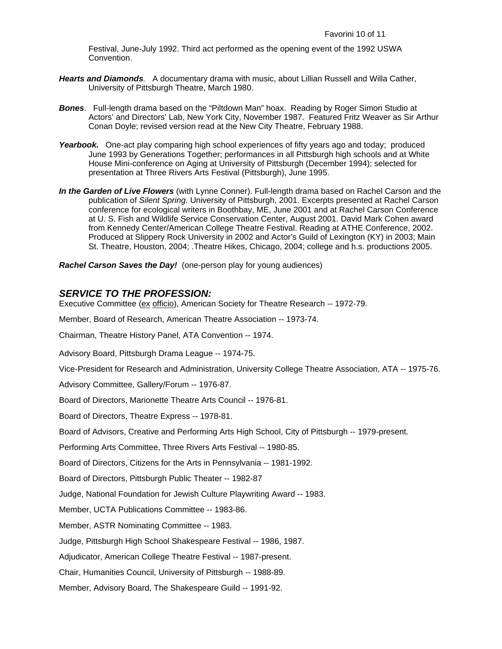Festival, June-July 1992. Third act performed as the opening event of the 1992 USWA Convention.

- *Hearts and Diamonds.* A documentary drama with music, about Lillian Russell and Willa Cather, University of Pittsburgh Theatre, March 1980.
- *Bones*. Full-length drama based on the "Piltdown Man" hoax. Reading by Roger Simon Studio at Actors' and Directors' Lab, New York City, November 1987. Featured Fritz Weaver as Sir Arthur Conan Doyle; revised version read at the New City Theatre, February 1988.
- Yearbook. One-act play comparing high school experiences of fifty years ago and today; produced June 1993 by Generations Together; performances in all Pittsburgh high schools and at White House Mini-conference on Aging at University of Pittsburgh (December 1994); selected for presentation at Three Rivers Arts Festival (Pittsburgh), June 1995.
- *In the Garden of Live Flowers* (with Lynne Conner). Full-length drama based on Rachel Carson and the publication of *Silent Spring.* University of Pittsburgh, 2001. Excerpts presented at Rachel Carson conference for ecological writers in Boothbay, ME, June 2001 and at Rachel Carson Conference at U. S. Fish and Wildlife Service Conservation Center, August 2001. David Mark Cohen award from Kennedy Center/American College Theatre Festival. Reading at ATHE Conference, 2002. Produced at Slippery Rock University in 2002 and Actor's Guild of Lexington (KY) in 2003; Main St. Theatre, Houston, 2004; .Theatre Hikes, Chicago, 2004; college and h.s. productions 2005.

*Rachel Carson Saves the Day!* (one-person play for young audiences)

### *SERVICE TO THE PROFESSION:*

Executive Committee (ex officio), American Society for Theatre Research -- 1972-79.

Member, Board of Research, American Theatre Association -- 1973-74.

Chairman, Theatre History Panel, ATA Convention -- 1974.

Advisory Board, Pittsburgh Drama League -- 1974-75.

Vice-President for Research and Administration, University College Theatre Association, ATA -- 1975-76.

Advisory Committee, Gallery/Forum -- 1976-87.

Board of Directors, Marionette Theatre Arts Council -- 1976-81.

Board of Directors, Theatre Express -- 1978-81.

Board of Advisors, Creative and Performing Arts High School, City of Pittsburgh -- 1979-present.

Performing Arts Committee, Three Rivers Arts Festival -- 1980-85.

Board of Directors, Citizens for the Arts in Pennsylvania -- 1981-1992.

Board of Directors, Pittsburgh Public Theater -- 1982-87

Judge, National Foundation for Jewish Culture Playwriting Award -- 1983.

Member, UCTA Publications Committee -- 1983-86.

Member, ASTR Nominating Committee -- 1983.

Judge, Pittsburgh High School Shakespeare Festival -- 1986, 1987.

Adjudicator, American College Theatre Festival -- 1987-present.

Chair, Humanities Council, University of Pittsburgh -- 1988-89.

Member, Advisory Board, The Shakespeare Guild -- 1991-92.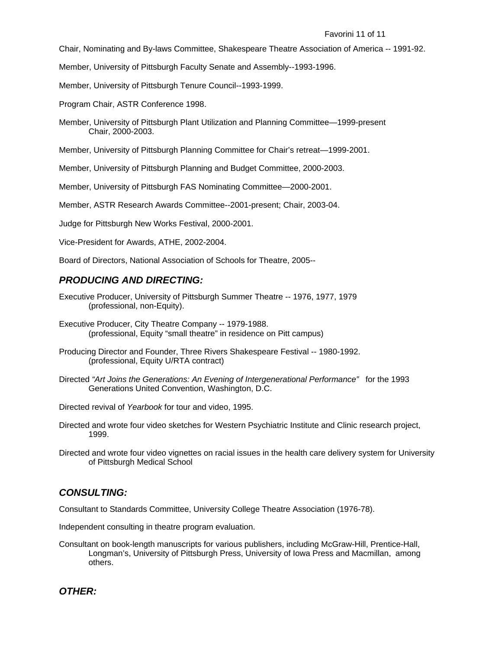Chair, Nominating and By-laws Committee, Shakespeare Theatre Association of America -- 1991-92.

Member, University of Pittsburgh Faculty Senate and Assembly--1993-1996.

Member, University of Pittsburgh Tenure Council--1993-1999.

Program Chair, ASTR Conference 1998.

Member, University of Pittsburgh Plant Utilization and Planning Committee—1999-present Chair, 2000-2003.

Member, University of Pittsburgh Planning Committee for Chair's retreat—1999-2001.

Member, University of Pittsburgh Planning and Budget Committee, 2000-2003.

Member, University of Pittsburgh FAS Nominating Committee—2000-2001.

Member, ASTR Research Awards Committee--2001-present; Chair, 2003-04.

Judge for Pittsburgh New Works Festival, 2000-2001.

Vice-President for Awards, ATHE, 2002-2004.

Board of Directors, National Association of Schools for Theatre, 2005--

#### *PRODUCING AND DIRECTING:*

- Executive Producer, University of Pittsburgh Summer Theatre -- 1976, 1977, 1979 (professional, non-Equity).
- Executive Producer, City Theatre Company -- 1979-1988. (professional, Equity "small theatre" in residence on Pitt campus)
- Producing Director and Founder, Three Rivers Shakespeare Festival -- 1980-1992. (professional, Equity U/RTA contract)
- Directed *"Art Joins the Generations: An Evening of Intergenerational Performance"* for the 1993 Generations United Convention, Washington, D.C.

Directed revival of *Yearbook* for tour and video, 1995.

- Directed and wrote four video sketches for Western Psychiatric Institute and Clinic research project, 1999.
- Directed and wrote four video vignettes on racial issues in the health care delivery system for University of Pittsburgh Medical School

### *CONSULTING:*

Consultant to Standards Committee, University College Theatre Association (1976-78).

Independent consulting in theatre program evaluation.

Consultant on book-length manuscripts for various publishers, including McGraw-Hill, Prentice-Hall, Longman's, University of Pittsburgh Press, University of Iowa Press and Macmillan, among others.

*OTHER:*